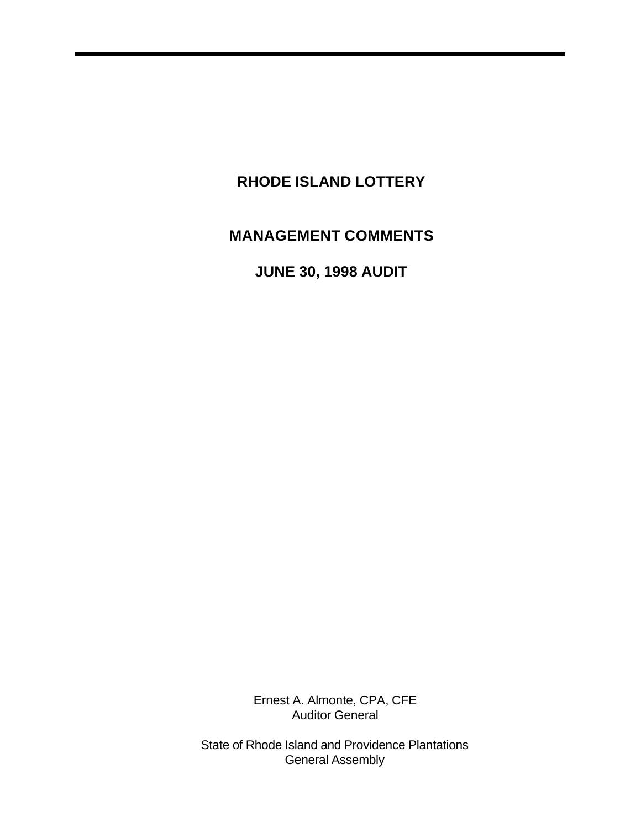# **RHODE ISLAND LOTTERY**

# **MANAGEMENT COMMENTS**

**JUNE 30, 1998 AUDIT** 

Ernest A. Almonte, CPA, CFE Auditor General

State of Rhode Island and Providence Plantations General Assembly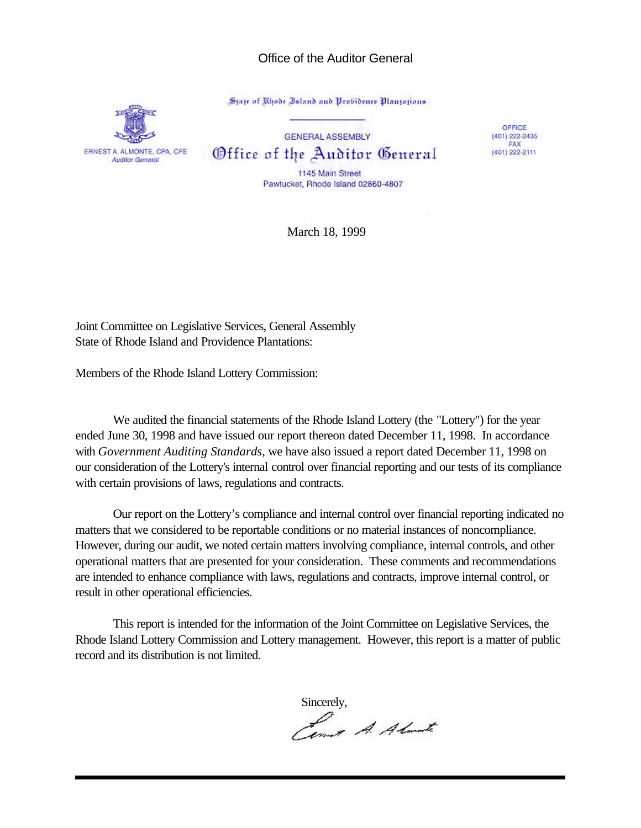#### Office of the Auditor General

State of Rhode Island and Probidence Plantations



**GENERAL ASSEMBLY** Office of the Auditor General

OFFICE  $(401)$  222-2435 FAX (401) 222-2111

1145 Main Street Pawtucket, Rhode Island 02860-4807

March 18, 1999

Joint Committee on Legislative Services, General Assembly State of Rhode Island and Providence Plantations:

Members of the Rhode Island Lottery Commission:

We audited the financial statements of the Rhode Island Lottery (the "Lottery") for the year ended June 30, 1998 and have issued our report thereon dated December 11, 1998. In accordance with *Government Auditing Standards*, we have also issued a report dated December 11, 1998 on our consideration of the Lottery's internal control over financial reporting and our tests of its compliance with certain provisions of laws, regulations and contracts.

Our report on the Lottery's compliance and internal control over financial reporting indicated no matters that we considered to be reportable conditions or no material instances of noncompliance. However, during our audit, we noted certain matters involving compliance, internal controls, and other operational matters that are presented for your consideration. These comments and recommendations are intended to enhance compliance with laws, regulations and contracts, improve internal control, or result in other operational efficiencies.

This report is intended for the information of the Joint Committee on Legislative Services, the Rhode Island Lottery Commission and Lottery management. However, this report is a matter of public record and its distribution is not limited.

Sincerely,<br>*Almark A. Almark*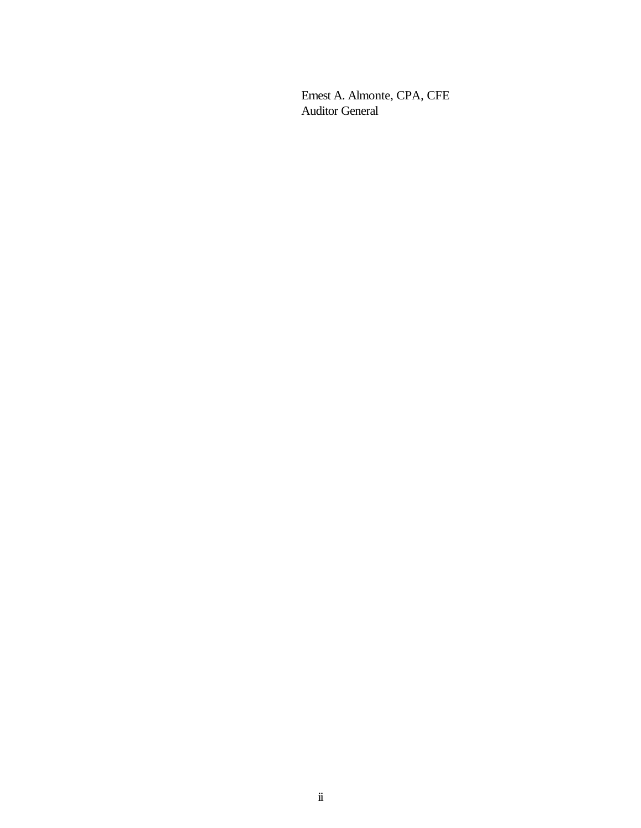Ernest A. Almonte, CPA, CFE Auditor General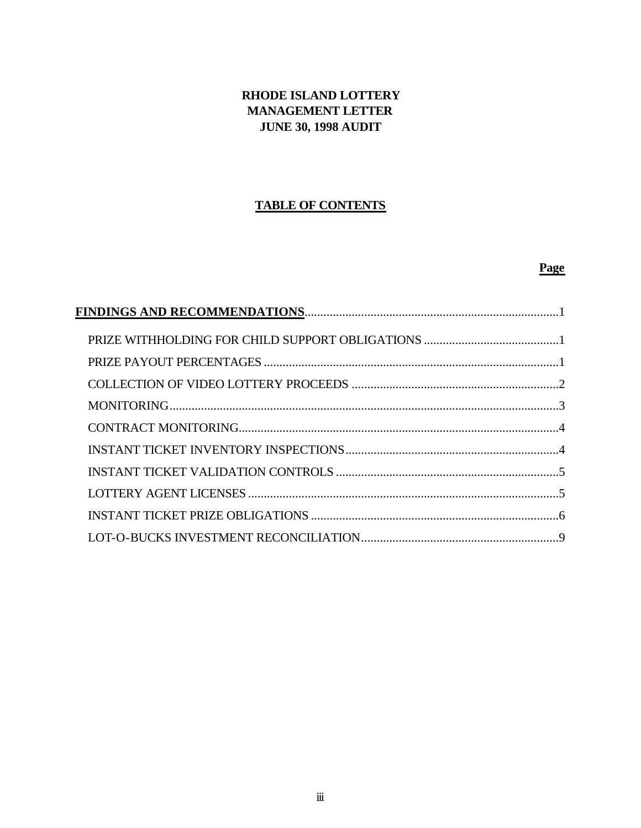# RHODE ISLAND LOTTERY **MANAGEMENT LETTER JUNE 30, 1998 AUDIT**

## **TABLE OF CONTENTS**

## Page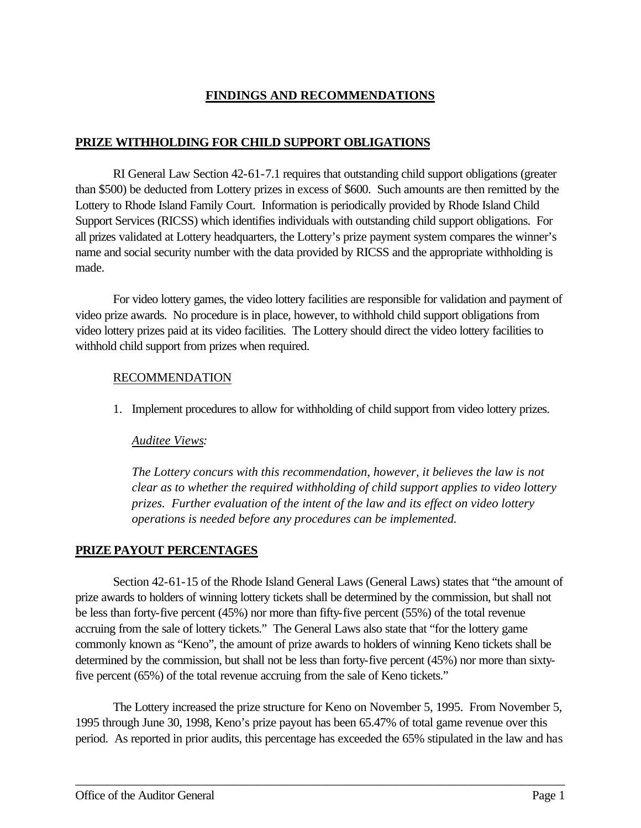# **FINDINGS AND RECOMMENDATIONS**

### **PRIZE WITHHOLDING FOR CHILD SUPPORT OBLIGATIONS**

RI General Law Section 42-61-7.1 requires that outstanding child support obligations (greater than \$500) be deducted from Lottery prizes in excess of \$600. Such amounts are then remitted by the Lottery to Rhode Island Family Court. Information is periodically provided by Rhode Island Child Support Services (RICSS) which identifies individuals with outstanding child support obligations. For all prizes validated at Lottery headquarters, the Lottery's prize payment system compares the winner's name and social security number with the data provided by RICSS and the appropriate withholding is made.

For video lottery games, the video lottery facilities are responsible for validation and payment of video prize awards. No procedure is in place, however, to withhold child support obligations from video lottery prizes paid at its video facilities. The Lottery should direct the video lottery facilities to withhold child support from prizes when required.

#### RECOMMENDATION

1. Implement procedures to allow for withholding of child support from video lottery prizes.

#### *Auditee Views:*

*The Lottery concurs with this recommendation, however, it believes the law is not clear as to whether the required withholding of child support applies to video lottery prizes. Further evaluation of the intent of the law and its effect on video lottery operations is needed before any procedures can be implemented.* 

#### **PRIZE PAYOUT PERCENTAGES**

Section 42-61-15 of the Rhode Island General Laws (General Laws) states that "the amount of prize awards to holders of winning lottery tickets shall be determined by the commission, but shall not be less than forty-five percent (45%) nor more than fifty-five percent (55%) of the total revenue accruing from the sale of lottery tickets." The General Laws also state that "for the lottery game commonly known as "Keno", the amount of prize awards to holders of winning Keno tickets shall be determined by the commission, but shall not be less than forty-five percent (45%) nor more than sixtyfive percent (65%) of the total revenue accruing from the sale of Keno tickets."

The Lottery increased the prize structure for Keno on November 5, 1995. From November 5, 1995 through June 30, 1998, Keno's prize payout has been 65.47% of total game revenue over this period. As reported in prior audits, this percentage has exceeded the 65% stipulated in the law and has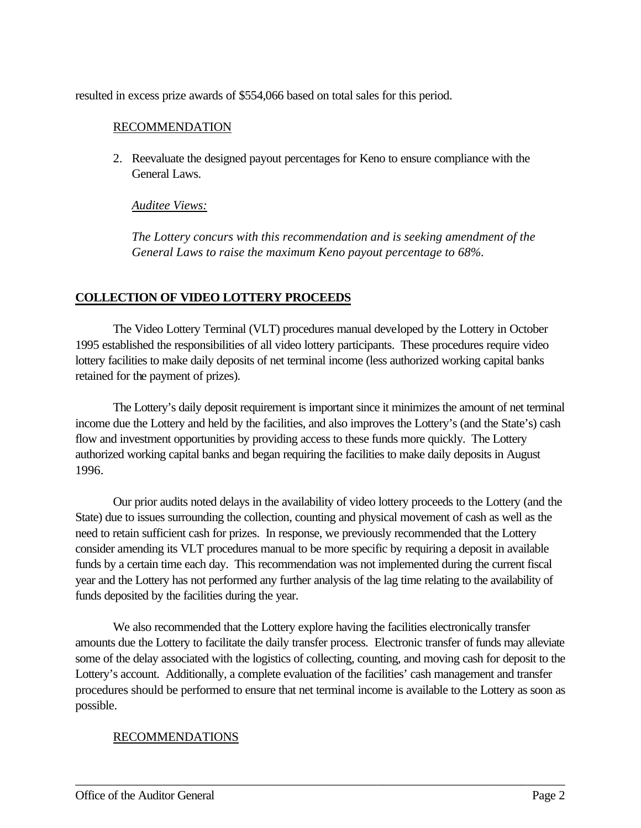resulted in excess prize awards of \$554,066 based on total sales for this period.

#### RECOMMENDATION

2. Reevaluate the designed payout percentages for Keno to ensure compliance with the General Laws.

#### *Auditee Views:*

*The Lottery concurs with this recommendation and is seeking amendment of the General Laws to raise the maximum Keno payout percentage to 68%.*

## **COLLECTION OF VIDEO LOTTERY PROCEEDS**

The Video Lottery Terminal (VLT) procedures manual developed by the Lottery in October 1995 established the responsibilities of all video lottery participants. These procedures require video lottery facilities to make daily deposits of net terminal income (less authorized working capital banks retained for the payment of prizes).

The Lottery's daily deposit requirement is important since it minimizes the amount of net terminal income due the Lottery and held by the facilities, and also improves the Lottery's (and the State's) cash flow and investment opportunities by providing access to these funds more quickly. The Lottery authorized working capital banks and began requiring the facilities to make daily deposits in August 1996.

Our prior audits noted delays in the availability of video lottery proceeds to the Lottery (and the State) due to issues surrounding the collection, counting and physical movement of cash as well as the need to retain sufficient cash for prizes. In response, we previously recommended that the Lottery consider amending its VLT procedures manual to be more specific by requiring a deposit in available funds by a certain time each day. This recommendation was not implemented during the current fiscal year and the Lottery has not performed any further analysis of the lag time relating to the availability of funds deposited by the facilities during the year.

We also recommended that the Lottery explore having the facilities electronically transfer amounts due the Lottery to facilitate the daily transfer process. Electronic transfer of funds may alleviate some of the delay associated with the logistics of collecting, counting, and moving cash for deposit to the Lottery's account. Additionally, a complete evaluation of the facilities' cash management and transfer procedures should be performed to ensure that net terminal income is available to the Lottery as soon as possible.

\_\_\_\_\_\_\_\_\_\_\_\_\_\_\_\_\_\_\_\_\_\_\_\_\_\_\_\_\_\_\_\_\_\_\_\_\_\_\_\_\_\_\_\_\_\_\_\_\_\_\_\_\_\_\_\_\_\_\_\_\_\_\_\_\_\_\_\_\_\_\_\_\_\_\_\_\_\_

#### RECOMMENDATIONS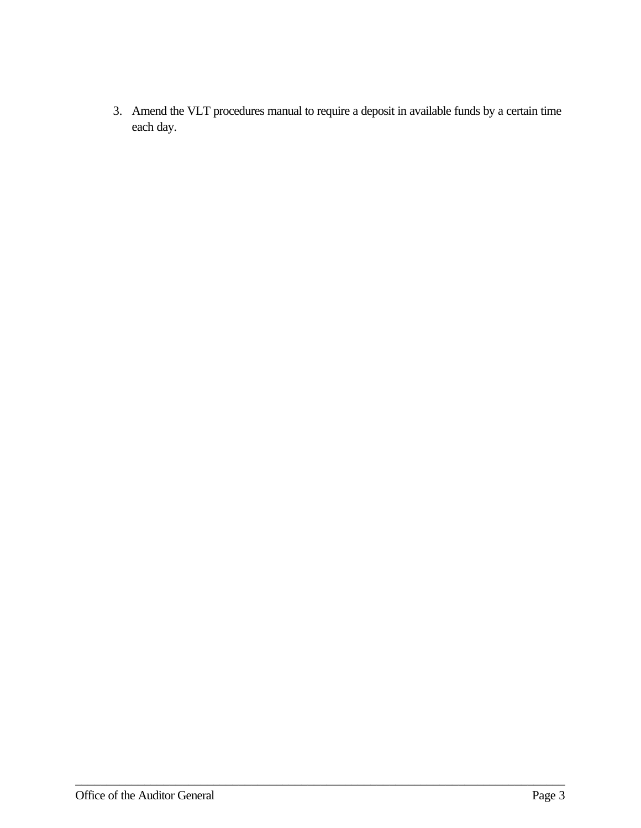3. Amend the VLT procedures manual to require a deposit in available funds by a certain time each day.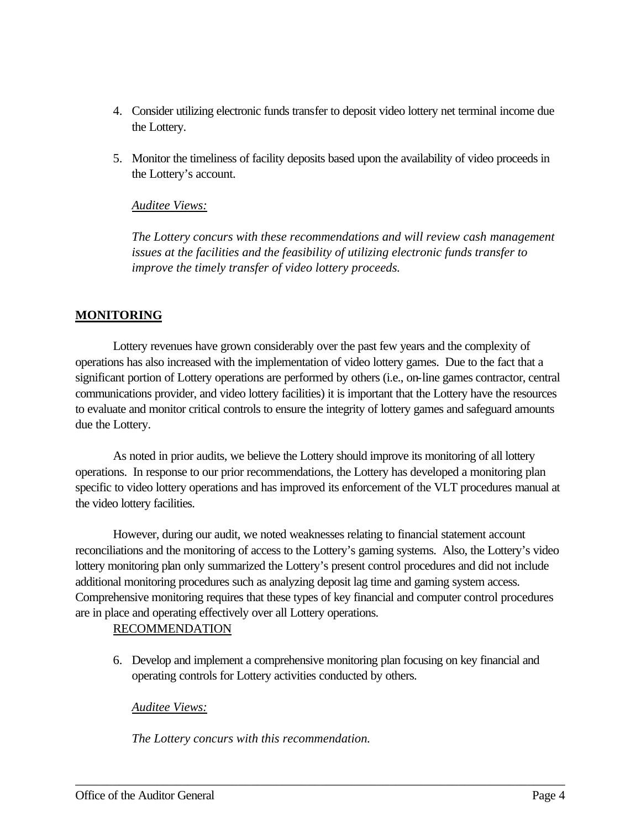- 4. Consider utilizing electronic funds transfer to deposit video lottery net terminal income due the Lottery.
- 5. Monitor the timeliness of facility deposits based upon the availability of video proceeds in the Lottery's account.

### *Auditee Views:*

*The Lottery concurs with these recommendations and will review cash management issues at the facilities and the feasibility of utilizing electronic funds transfer to improve the timely transfer of video lottery proceeds.*

# **MONITORING**

Lottery revenues have grown considerably over the past few years and the complexity of operations has also increased with the implementation of video lottery games. Due to the fact that a significant portion of Lottery operations are performed by others (i.e., on-line games contractor, central communications provider, and video lottery facilities) it is important that the Lottery have the resources to evaluate and monitor critical controls to ensure the integrity of lottery games and safeguard amounts due the Lottery.

As noted in prior audits, we believe the Lottery should improve its monitoring of all lottery operations. In response to our prior recommendations, the Lottery has developed a monitoring plan specific to video lottery operations and has improved its enforcement of the VLT procedures manual at the video lottery facilities.

However, during our audit, we noted weaknesses relating to financial statement account reconciliations and the monitoring of access to the Lottery's gaming systems. Also, the Lottery's video lottery monitoring plan only summarized the Lottery's present control procedures and did not include additional monitoring procedures such as analyzing deposit lag time and gaming system access. Comprehensive monitoring requires that these types of key financial and computer control procedures are in place and operating effectively over all Lottery operations.

# RECOMMENDATION

6. Develop and implement a comprehensive monitoring plan focusing on key financial and operating controls for Lottery activities conducted by others.

\_\_\_\_\_\_\_\_\_\_\_\_\_\_\_\_\_\_\_\_\_\_\_\_\_\_\_\_\_\_\_\_\_\_\_\_\_\_\_\_\_\_\_\_\_\_\_\_\_\_\_\_\_\_\_\_\_\_\_\_\_\_\_\_\_\_\_\_\_\_\_\_\_\_\_\_\_\_

# *Auditee Views:*

*The Lottery concurs with this recommendation.*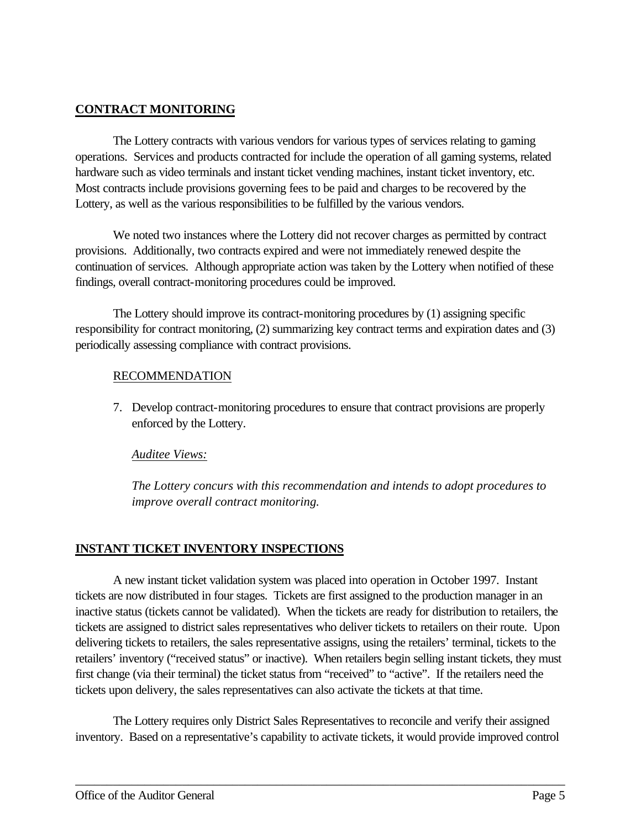### **CONTRACT MONITORING**

The Lottery contracts with various vendors for various types of services relating to gaming operations. Services and products contracted for include the operation of all gaming systems, related hardware such as video terminals and instant ticket vending machines, instant ticket inventory, etc. Most contracts include provisions governing fees to be paid and charges to be recovered by the Lottery, as well as the various responsibilities to be fulfilled by the various vendors.

We noted two instances where the Lottery did not recover charges as permitted by contract provisions. Additionally, two contracts expired and were not immediately renewed despite the continuation of services. Although appropriate action was taken by the Lottery when notified of these findings, overall contract-monitoring procedures could be improved.

The Lottery should improve its contract-monitoring procedures by (1) assigning specific responsibility for contract monitoring, (2) summarizing key contract terms and expiration dates and (3) periodically assessing compliance with contract provisions.

## RECOMMENDATION

7. Develop contract-monitoring procedures to ensure that contract provisions are properly enforced by the Lottery.

#### *Auditee Views:*

*The Lottery concurs with this recommendation and intends to adopt procedures to improve overall contract monitoring.* 

# **INSTANT TICKET INVENTORY INSPECTIONS**

A new instant ticket validation system was placed into operation in October 1997. Instant tickets are now distributed in four stages. Tickets are first assigned to the production manager in an inactive status (tickets cannot be validated). When the tickets are ready for distribution to retailers, the tickets are assigned to district sales representatives who deliver tickets to retailers on their route. Upon delivering tickets to retailers, the sales representative assigns, using the retailers' terminal, tickets to the retailers' inventory ("received status" or inactive). When retailers begin selling instant tickets, they must first change (via their terminal) the ticket status from "received" to "active". If the retailers need the tickets upon delivery, the sales representatives can also activate the tickets at that time.

The Lottery requires only District Sales Representatives to reconcile and verify their assigned inventory. Based on a representative's capability to activate tickets, it would provide improved control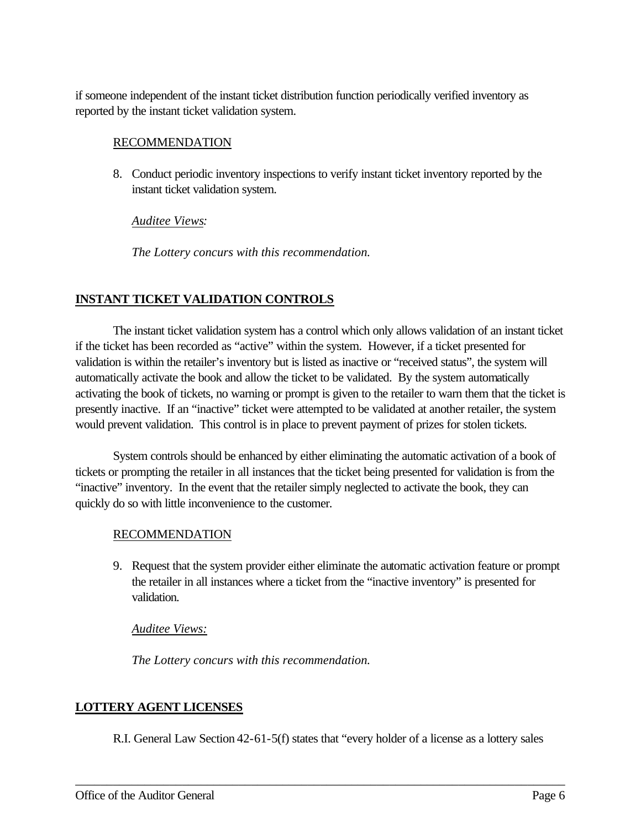if someone independent of the instant ticket distribution function periodically verified inventory as reported by the instant ticket validation system.

#### RECOMMENDATION

8. Conduct periodic inventory inspections to verify instant ticket inventory reported by the instant ticket validation system.

#### *Auditee Views:*

*The Lottery concurs with this recommendation.*

# **INSTANT TICKET VALIDATION CONTROLS**

The instant ticket validation system has a control which only allows validation of an instant ticket if the ticket has been recorded as "active" within the system. However, if a ticket presented for validation is within the retailer's inventory but is listed as inactive or "received status", the system will automatically activate the book and allow the ticket to be validated. By the system automatically activating the book of tickets, no warning or prompt is given to the retailer to warn them that the ticket is presently inactive. If an "inactive" ticket were attempted to be validated at another retailer, the system would prevent validation. This control is in place to prevent payment of prizes for stolen tickets.

System controls should be enhanced by either eliminating the automatic activation of a book of tickets or prompting the retailer in all instances that the ticket being presented for validation is from the "inactive" inventory. In the event that the retailer simply neglected to activate the book, they can quickly do so with little inconvenience to the customer.

#### RECOMMENDATION

9. Request that the system provider either eliminate the automatic activation feature or prompt the retailer in all instances where a ticket from the "inactive inventory" is presented for validation.

#### *Auditee Views:*

*The Lottery concurs with this recommendation.*

# **LOTTERY AGENT LICENSES**

R.I. General Law Section 42-61-5(f) states that "every holder of a license as a lottery sales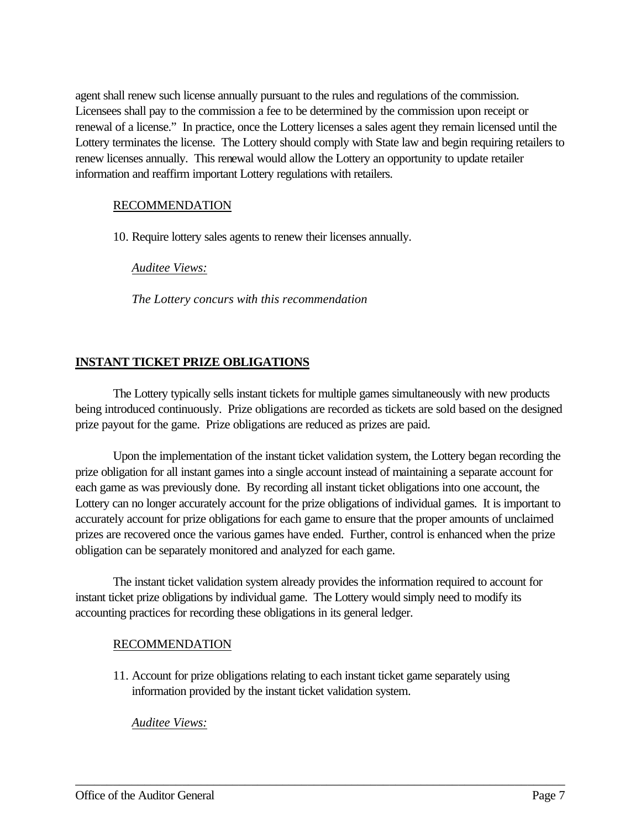agent shall renew such license annually pursuant to the rules and regulations of the commission. Licensees shall pay to the commission a fee to be determined by the commission upon receipt or renewal of a license." In practice, once the Lottery licenses a sales agent they remain licensed until the Lottery terminates the license. The Lottery should comply with State law and begin requiring retailers to renew licenses annually. This renewal would allow the Lottery an opportunity to update retailer information and reaffirm important Lottery regulations with retailers.

#### RECOMMENDATION

10. Require lottery sales agents to renew their licenses annually.

*Auditee Views:*

*The Lottery concurs with this recommendation*

## **INSTANT TICKET PRIZE OBLIGATIONS**

The Lottery typically sells instant tickets for multiple games simultaneously with new products being introduced continuously. Prize obligations are recorded as tickets are sold based on the designed prize payout for the game. Prize obligations are reduced as prizes are paid.

Upon the implementation of the instant ticket validation system, the Lottery began recording the prize obligation for all instant games into a single account instead of maintaining a separate account for each game as was previously done. By recording all instant ticket obligations into one account, the Lottery can no longer accurately account for the prize obligations of individual games. It is important to accurately account for prize obligations for each game to ensure that the proper amounts of unclaimed prizes are recovered once the various games have ended. Further, control is enhanced when the prize obligation can be separately monitored and analyzed for each game.

The instant ticket validation system already provides the information required to account for instant ticket prize obligations by individual game. The Lottery would simply need to modify its accounting practices for recording these obligations in its general ledger.

#### RECOMMENDATION

11. Account for prize obligations relating to each instant ticket game separately using information provided by the instant ticket validation system.

\_\_\_\_\_\_\_\_\_\_\_\_\_\_\_\_\_\_\_\_\_\_\_\_\_\_\_\_\_\_\_\_\_\_\_\_\_\_\_\_\_\_\_\_\_\_\_\_\_\_\_\_\_\_\_\_\_\_\_\_\_\_\_\_\_\_\_\_\_\_\_\_\_\_\_\_\_\_

#### *Auditee Views:*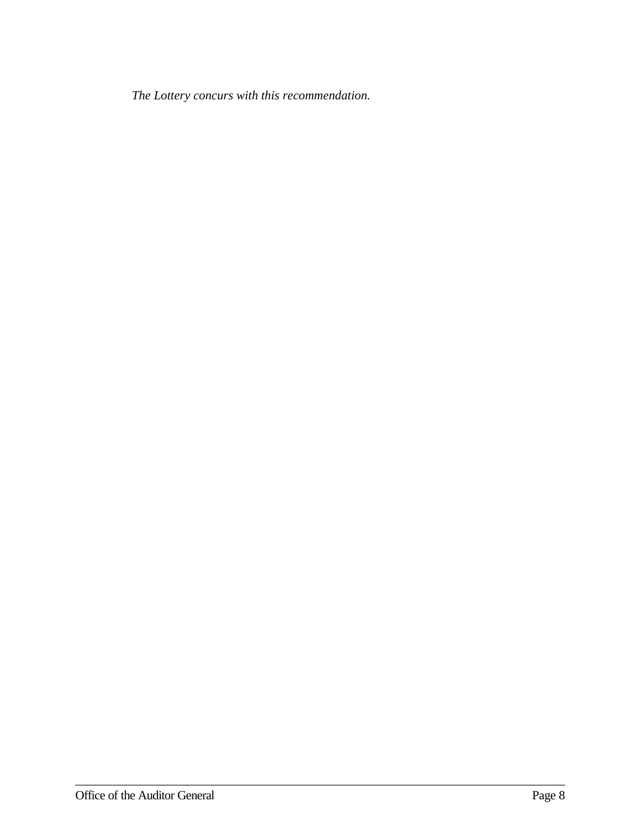*The Lottery concurs with this recommendation.*